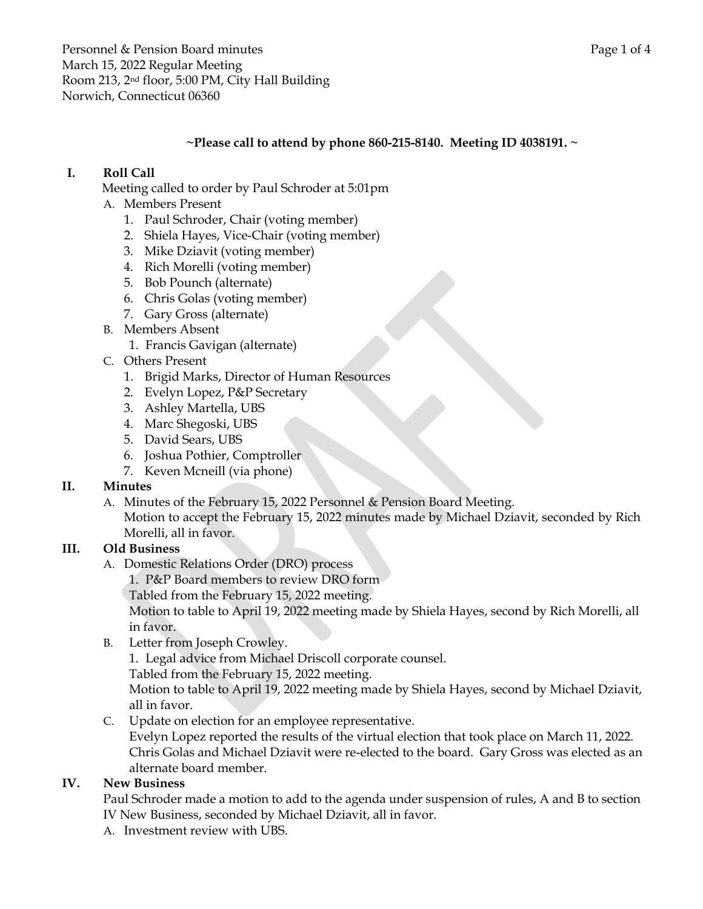Personnel & Pension Board minutes **Page 1** of 4 March 15, 2022 Regular Meeting Room 213, 2nd floor, 5:00 PM, City Hall Building Norwich, Connecticut 06360

### **~Please call to attend by phone 860-215-8140. Meeting ID 4038191. ~**

## **I. Roll Call**

Meeting called to order by Paul Schroder at 5:01pm

- A. Members Present
	- 1. Paul Schroder, Chair (voting member)
	- 2. Shiela Hayes, Vice-Chair (voting member)
	- 3. Mike Dziavit (voting member)
	- 4. Rich Morelli (voting member)
	- 5. Bob Pounch (alternate)
	- 6. Chris Golas (voting member)
	- 7. Gary Gross (alternate)
- B. Members Absent
	- 1. Francis Gavigan (alternate)
- C. Others Present
	- 1. Brigid Marks, Director of Human Resources
	- 2. Evelyn Lopez, P&P Secretary
	- 3. Ashley Martella, UBS
	- 4. Marc Shegoski, UBS
	- 5. David Sears, UBS
	- 6. Joshua Pothier, Comptroller
	- 7. Keven Mcneill (via phone)

#### **II. Minutes**

A. Minutes of the February 15, 2022 Personnel & Pension Board Meeting. Motion to accept the February 15, 2022 minutes made by Michael Dziavit, seconded by Rich Morelli, all in favor.

## **III. Old Business**

- A. Domestic Relations Order (DRO) process
	- 1. P&P Board members to review DRO form
	- Tabled from the February 15, 2022 meeting.

Motion to table to April 19, 2022 meeting made by Shiela Hayes, second by Rich Morelli, all in favor.

B. Letter from Joseph Crowley.

1. Legal advice from Michael Driscoll corporate counsel.

Tabled from the February 15, 2022 meeting.

Motion to table to April 19, 2022 meeting made by Shiela Hayes, second by Michael Dziavit, all in favor.

C. Update on election for an employee representative.

Evelyn Lopez reported the results of the virtual election that took place on March 11, 2022. Chris Golas and Michael Dziavit were re-elected to the board. Gary Gross was elected as an alternate board member.

#### **IV. New Business**

Paul Schroder made a motion to add to the agenda under suspension of rules, A and B to section IV New Business, seconded by Michael Dziavit, all in favor.

A. Investment review with UBS.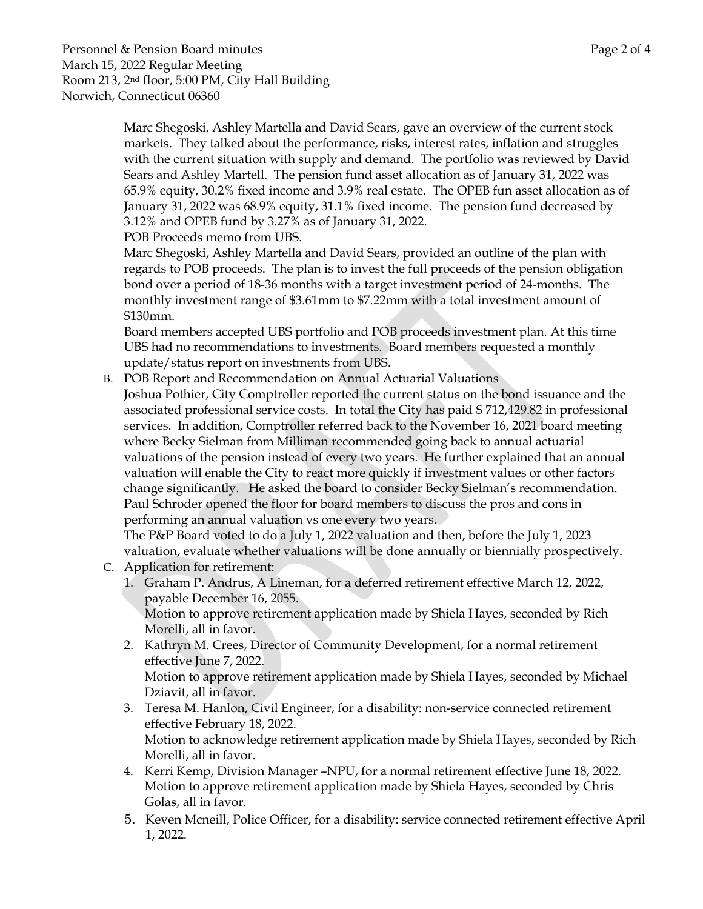Marc Shegoski, Ashley Martella and David Sears, gave an overview of the current stock markets. They talked about the performance, risks, interest rates, inflation and struggles with the current situation with supply and demand. The portfolio was reviewed by David Sears and Ashley Martell. The pension fund asset allocation as of January 31, 2022 was 65.9% equity, 30.2% fixed income and 3.9% real estate. The OPEB fun asset allocation as of January 31, 2022 was 68.9% equity, 31.1% fixed income. The pension fund decreased by 3.12% and OPEB fund by 3.27% as of January 31, 2022.

POB Proceeds memo from UBS.

Marc Shegoski, Ashley Martella and David Sears, provided an outline of the plan with regards to POB proceeds. The plan is to invest the full proceeds of the pension obligation bond over a period of 18-36 months with a target investment period of 24-months. The monthly investment range of \$3.61mm to \$7.22mm with a total investment amount of \$130mm.

Board members accepted UBS portfolio and POB proceeds investment plan. At this time UBS had no recommendations to investments. Board members requested a monthly update/status report on investments from UBS.

B. POB Report and Recommendation on Annual Actuarial Valuations Joshua Pothier, City Comptroller reported the current status on the bond issuance and the associated professional service costs. In total the City has paid \$ 712,429.82 in professional services. In addition, Comptroller referred back to the November 16, 2021 board meeting where Becky Sielman from Milliman recommended going back to annual actuarial valuations of the pension instead of every two years. He further explained that an annual valuation will enable the City to react more quickly if investment values or other factors change significantly. He asked the board to consider Becky Sielman's recommendation. Paul Schroder opened the floor for board members to discuss the pros and cons in performing an annual valuation vs one every two years.

The P&P Board voted to do a July 1, 2022 valuation and then, before the July 1, 2023 valuation, evaluate whether valuations will be done annually or biennially prospectively.

- C. Application for retirement:
	- 1. Graham P. Andrus, A Lineman, for a deferred retirement effective March 12, 2022, payable December 16, 2055. Motion to approve retirement application made by Shiela Hayes, seconded by Rich

Morelli, all in favor.

- 2. Kathryn M. Crees, Director of Community Development, for a normal retirement effective June 7, 2022. Motion to approve retirement application made by Shiela Hayes, seconded by Michael Dziavit, all in favor.
- 3. Teresa M. Hanlon, Civil Engineer, for a disability: non-service connected retirement effective February 18, 2022. Motion to acknowledge retirement application made by Shiela Hayes, seconded by Rich Morelli, all in favor.
- 4. Kerri Kemp, Division Manager –NPU, for a normal retirement effective June 18, 2022. Motion to approve retirement application made by Shiela Hayes, seconded by Chris Golas, all in favor.
- 5. Keven Mcneill, Police Officer, for a disability: service connected retirement effective April 1, 2022.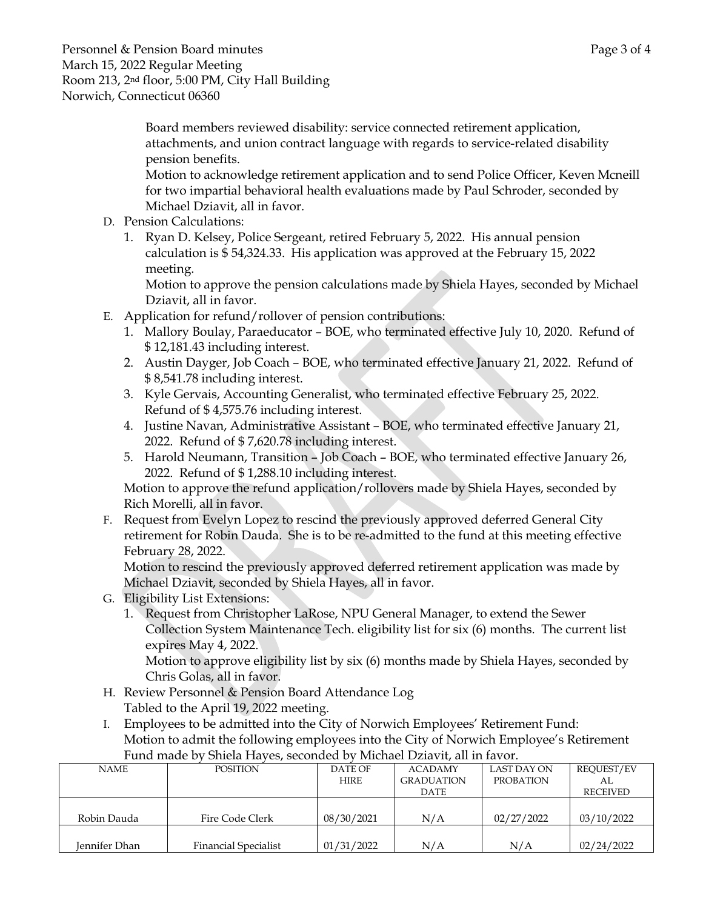Board members reviewed disability: service connected retirement application, attachments, and union contract language with regards to service-related disability pension benefits.

Motion to acknowledge retirement application and to send Police Officer, Keven Mcneill for two impartial behavioral health evaluations made by Paul Schroder, seconded by Michael Dziavit, all in favor.

- D. Pension Calculations:
	- 1. Ryan D. Kelsey, Police Sergeant, retired February 5, 2022. His annual pension calculation is \$ 54,324.33. His application was approved at the February 15, 2022 meeting.

Motion to approve the pension calculations made by Shiela Hayes, seconded by Michael Dziavit, all in favor.

- E. Application for refund/rollover of pension contributions:
	- 1. Mallory Boulay, Paraeducator BOE, who terminated effective July 10, 2020. Refund of \$ 12,181.43 including interest.
	- 2. Austin Dayger, Job Coach BOE, who terminated effective January 21, 2022. Refund of \$ 8,541.78 including interest.
	- 3. Kyle Gervais, Accounting Generalist, who terminated effective February 25, 2022. Refund of \$ 4,575.76 including interest.
	- 4. Justine Navan, Administrative Assistant BOE, who terminated effective January 21, 2022. Refund of \$ 7,620.78 including interest.
	- 5. Harold Neumann, Transition Job Coach BOE, who terminated effective January 26, 2022. Refund of \$ 1,288.10 including interest.

Motion to approve the refund application/rollovers made by Shiela Hayes, seconded by Rich Morelli, all in favor.

F. Request from Evelyn Lopez to rescind the previously approved deferred General City retirement for Robin Dauda. She is to be re-admitted to the fund at this meeting effective February 28, 2022.

Motion to rescind the previously approved deferred retirement application was made by Michael Dziavit, seconded by Shiela Hayes, all in favor.

- G. Eligibility List Extensions:
	- 1. Request from Christopher LaRose, NPU General Manager, to extend the Sewer Collection System Maintenance Tech. eligibility list for six (6) months. The current list expires May 4, 2022.

Motion to approve eligibility list by six (6) months made by Shiela Hayes, seconded by Chris Golas, all in favor.

- H. Review Personnel & Pension Board Attendance Log Tabled to the April 19, 2022 meeting.
- I. Employees to be admitted into the City of Norwich Employees' Retirement Fund: Motion to admit the following employees into the City of Norwich Employee's Retirement Fund made by Shiela Hayes, seconded by Michael Dziavit, all in favor.

| <b>NAME</b>   | <b>POSITION</b>             | DATE OF     | <b>ACADAMY</b>    | LAST DAY ON      | REQUEST/EV      |
|---------------|-----------------------------|-------------|-------------------|------------------|-----------------|
|               |                             | <b>HIRE</b> | <b>GRADUATION</b> | <b>PROBATION</b> | AL.             |
|               |                             |             | DATE              |                  | <b>RECEIVED</b> |
|               |                             |             |                   |                  |                 |
| Robin Dauda   | Fire Code Clerk             | 08/30/2021  | N/A               | 02/27/2022       | 03/10/2022      |
|               |                             |             |                   |                  |                 |
| Iennifer Dhan | <b>Financial Specialist</b> | 01/31/2022  | N/A               | N/A              | 02/24/2022      |